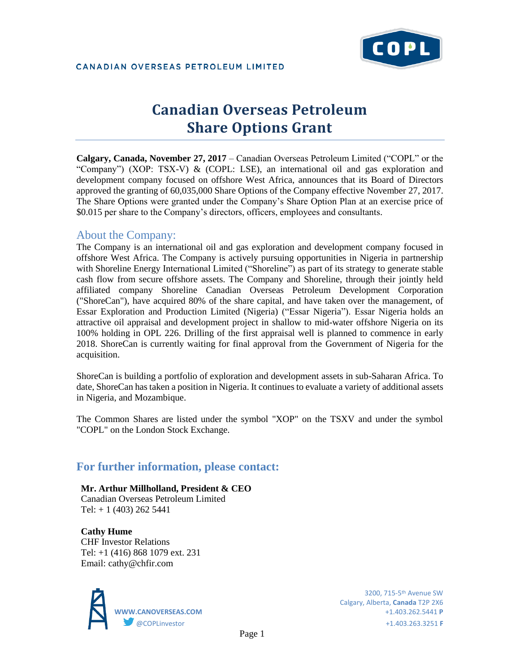

# **Canadian Overseas Petroleum Share Options Grant**

**Calgary, Canada, November 27, 2017** – Canadian Overseas Petroleum Limited ("COPL" or the "Company") (XOP: TSX-V) & (COPL: LSE), an international oil and gas exploration and development company focused on offshore West Africa, announces that its Board of Directors approved the granting of 60,035,000 Share Options of the Company effective November 27, 2017. The Share Options were granted under the Company's Share Option Plan at an exercise price of \$0.015 per share to the Company's directors, officers, employees and consultants.

### About the Company:

The Company is an international oil and gas exploration and development company focused in offshore West Africa. The Company is actively pursuing opportunities in Nigeria in partnership with Shoreline Energy International Limited ("Shoreline") as part of its strategy to generate stable cash flow from secure offshore assets. The Company and Shoreline, through their jointly held affiliated company Shoreline Canadian Overseas Petroleum Development Corporation ("ShoreCan"), have acquired 80% of the share capital, and have taken over the management, of Essar Exploration and Production Limited (Nigeria) ("Essar Nigeria"). Essar Nigeria holds an attractive oil appraisal and development project in shallow to mid-water offshore Nigeria on its 100% holding in OPL 226. Drilling of the first appraisal well is planned to commence in early 2018. ShoreCan is currently waiting for final approval from the Government of Nigeria for the acquisition.

ShoreCan is building a portfolio of exploration and development assets in sub-Saharan Africa. To date, ShoreCan has taken a position in Nigeria. It continues to evaluate a variety of additional assets in Nigeria, and Mozambique.

The Common Shares are listed under the symbol "XOP" on the TSXV and under the symbol "COPL" on the London Stock Exchange.

## **For further information, please contact:**

**Mr. Arthur Millholland, President & CEO** Canadian Overseas Petroleum Limited Tel: + 1 (403) 262 5441

**Cathy Hume** CHF Investor Relations Tel: +1 (416) 868 1079 ext. 231 Email: cathy@chfir.com



Calgary, Alberta, **Canada** T2P 2X6 **WWW.CANOVERSEAS.COM** +1.403.262.5441 **P**